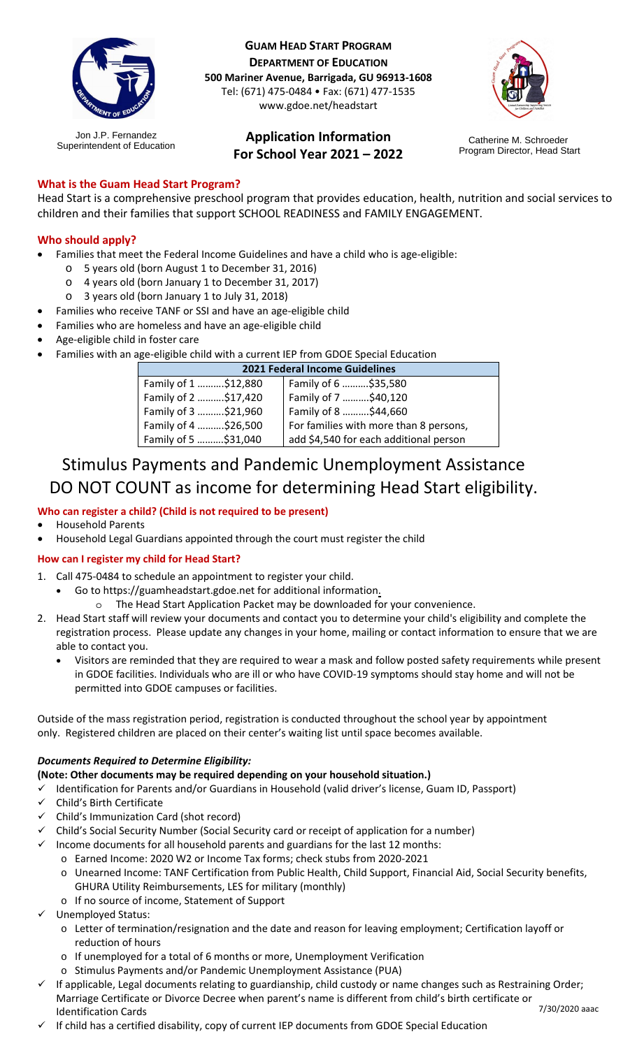

Jon J.P. Fernandez

**GUAM HEAD START PROGRAM DEPARTMENT OF EDUCATION 500 Mariner Avenue, Barrigada, GU 96913-1608** Tel: (671) 475-0484 • Fax: (671) 477-1535 www.gdoe.net/headstart

#### **Application Information For School Year 2021 – 2022** Jon J.P. Fernancez **Example Application Information**<br>Superintendent of Education Catherine Catherine Catherine M. Schroeder



Program Director, Head Start

## **What is the Guam Head Start Program?**

Head Start is a comprehensive preschool program that provides education, health, nutrition and social services to children and their families that support SCHOOL READINESS and FAMILY ENGAGEMENT.

### **Who should apply?**

- Families that meet the Federal Income Guidelines and have a child who is age-eligible:
	- o 5 years old (born August 1 to December 31, 2016)
	- o 4 years old (born January 1 to December 31, 2017)
	- o 3 years old (born January 1 to July 31, 2018)
- Families who receive TANF or SSI and have an age-eligible child
- Families who are homeless and have an age-eligible child
- Age-eligible child in foster care
- Families with an age-eligible child with a current IEP from GDOE Special Education

| <b>2021 Federal Income Guidelines</b> |                                        |
|---------------------------------------|----------------------------------------|
| Family of 1 \$12,880                  | Family of 6 \$35,580                   |
| Family of 2 \$17,420                  | Family of 7 \$40,120                   |
| Family of 3 \$21,960                  | Family of 8 \$44,660                   |
| Family of 4 \$26,500                  | For families with more than 8 persons, |
| Family of 5 \$31,040                  | add \$4,540 for each additional person |

# Stimulus Payments and Pandemic Unemployment Assistance DO NOT COUNT as income for determining Head Start eligibility.

### **Who can register a child? (Child is not required to be present)**

- Household Parents
- Household Legal Guardians appointed through the court must register the child

### **How can I register my child for Head Start?**

- 1. Call 475-0484 to schedule an appointment to register your child.
	- Go to https://guamheadstart.gdoe.net for additional information.
		- o The Head Start Application Packet may be downloaded for your convenience.
- 2. Head Start staff will review your documents and contact you to determine your child's eligibility and complete the registration process. Please update any changes in your home, mailing or contact information to ensure that we are able to contact you.
	- Visitors are reminded that they are required to wear a mask and follow posted safety requirements while present in GDOE facilities. Individuals who are ill or who have COVID-19 symptoms should stay home and will not be permitted into GDOE campuses or facilities.

Outside of the mass registration period, registration is conducted throughout the school year by appointment only. Registered children are placed on their center's waiting list until space becomes available.

### *Documents Required to Determine Eligibility:*

**(Note: Other documents may be required depending on your household situation.)**

- Identification for Parents and/or Guardians in Household (valid driver's license, Guam ID, Passport)
- Child's Birth Certificate
- Child's Immunization Card (shot record)
- Child's Social Security Number (Social Security card or receipt of application for a number)
- Income documents for all household parents and guardians for the last 12 months:
	- o Earned Income: 2020 W2 or Income Tax forms; check stubs from 2020-2021
		- o Unearned Income: TANF Certification from Public Health, Child Support, Financial Aid, Social Security benefits, GHURA Utility Reimbursements, LES for military (monthly)
		- o If no source of income, Statement of Support
- Unemployed Status:
	- o Letter of termination/resignation and the date and reason for leaving employment; Certification layoff or reduction of hours
	- o If unemployed for a total of 6 months or more, Unemployment Verification
	- o Stimulus Payments and/or Pandemic Unemployment Assistance (PUA)
- 7/30/2020 aaac If applicable, Legal documents relating to guardianship, child custody or name changes such as Restraining Order; Marriage Certificate or Divorce Decree when parent's name is different from child's birth certificate or Identification Cards
- If child has a certified disability, copy of current IEP documents from GDOE Special Education